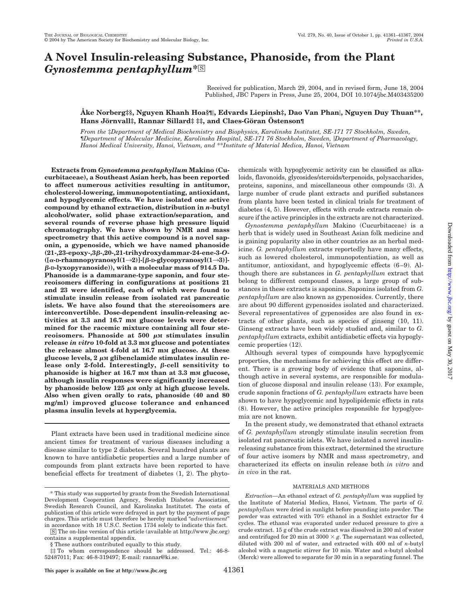# **A Novel Insulin-releasing Substance, Phanoside, from the Plant** *Gynostemma pentaphyllum***\***□<sup>S</sup>

Received for publication, March 29, 2004, and in revised form, June 18, 2004 Published, JBC Papers in Press, June 25, 2004, DOI 10.1074/jbc.M403435200

### **Åke Norberg‡§, Nguyen Khanh Hoa§¶, Edvards Liepinsh‡, Dao Van Phan, Nguyen Duy Thuan\*\*, Hans Jo¨rnvall‡, Rannar Sillard‡ ‡‡, and Claes-Go¨ran O¨ stenson¶**

*From the* ‡*Department of Medical Biochemistry and Biophysics, Karolinska Institutet, SE-171 77 Stockholm, Sweden,* ¶*Department of Molecular Medicine, Karolinska Hospital, SE-171 76 Stockholm, Sweden, Department of Pharmacology, Hanoi Medical University, Hanoi, Vietnam, and* \*\**Institute of Material Medica, Hanoi, Vietnam*

**Extracts from** *Gynostemma pentaphyllum* **Makino (Cucurbitaceae), a Southeast Asian herb, has been reported to affect numerous activities resulting in antitumor, cholesterol-lowering, immunopotentiating, antioxidant, and hypoglycemic effects. We have isolated one active compound by ethanol extraction, distribution in** *n***-butyl alcohol/water, solid phase extraction/separation, and several rounds of reverse phase high pressure liquid chromatography. We have shown by NMR and mass spectrometry that this active compound is a novel saponin, a gypenoside, which we have named phanoside (21-,23-epoxy-,3-,20-,21-trihydroxydammar-24-ene-3-***O***- ([**-**-D-rhamnopyranosyl(1**3**2)]-[-D-glycopyranosyl(1**3**3)]- -D-lyxopyranoside)), with a molecular mass of 914.5 Da. Phanoside is a dammarane-type saponin, and four stereoisomers differing in configurations at positions 21 and 23 were identified, each of which were found to stimulate insulin release from isolated rat pancreatic islets. We have also found that the stereoisomers are interconvertible. Dose-dependent insulin-releasing ac**tivities at 3.3 and 16.7 mm glucose levels were deter**mined for the racemic mixture containing all four ste**reoisomers. Phanoside at  $500 \mu$ M stimulates insulin **release** *in vitro* **10-fold at 3.3 mM glucose and potentiates** the release almost 4-fold at 16.7 mm glucose. At these glucose levels,  $2 \mu M$  glibenclamide stimulates insulin release only 2-fold. Interestingly,  $\beta$ -cell sensitivity to **phanoside is higher at 16.7 mM than at 3.3 mM glucose, although insulin responses were significantly increased** by phanoside below  $125 \mu M$  only at high glucose levels. **Also when given orally to rats, phanoside (40 and 80 mg/ml) improved glucose tolerance and enhanced plasma insulin levels at hyperglycemia.**

Plant extracts have been used in traditional medicine since ancient times for treatment of various diseases including a disease similar to type 2 diabetes. Several hundred plants are known to have antidiabetic properties and a large number of compounds from plant extracts have been reported to have beneficial effects for treatment of diabetes (1, 2). The phyto-

□S The on-line version of this article (available at http://www.jbc.org) contains a supplemental appendix.

chemicals with hypoglycemic activity can be classified as alkaloids, flavonoids, glycosides/steroids/terpenoids, polysaccharides, proteins, saponins, and miscellaneous other compounds (3). A large number of crude plant extracts and purified substances from plants have been tested in clinical trials for treatment of diabetes (4, 5). However, effects with crude extracts remain obscure if the active principles in the extracts are not characterized.

*Gynostemma pentaphyllum* Makino (Cucurbitaceae) is a herb that is widely used in Southeast Asian folk medicine and is gaining popularity also in other countries as an herbal medicine. *G. pentaphyllum* extracts reportedly have many effects, such as lowered cholesterol, immunopotentiation, as well as antitumor, antioxidant, and hypoglycemic effects (6–9). Although there are substances in *G. pentaphyllum* extract that belong to different compound classes, a large group of substances in these extracts is saponins. Saponins isolated from *G. pentaphyllum* are also known as gypenosides. Currently, there are about 90 different gypenosides isolated and characterized. Several representatives of gypenosides are also found in extracts of other plants, such as species of ginseng (10, 11). Ginseng extracts have been widely studied and, similar to *G. pentaphyllum* extracts, exhibit antidiabetic effects via hypoglycemic properties (12).

Although several types of compounds have hypoglycemic properties, the mechanisms for achieving this effect are different. There is a growing body of evidence that saponins, although active in several systems, are responsible for modulation of glucose disposal and insulin release (13). For example, crude saponin fractions of *G. pentaphyllum* extracts have been shown to have hypoglycemic and hypolipidemic effects in rats (8). However, the active principles responsible for hypoglycemia are not known.

In the present study, we demonstrated that ethanol extracts of *G. pentaphyllum* strongly stimulate insulin secretion from isolated rat pancreatic islets. We have isolated a novel insulinreleasing substance from this extract, determined the structure of four active isomers by NMR and mass spectrometry, and characterized its effects on insulin release both *in vitro* and *in vivo* in the rat.

#### MATERIALS AND METHODS

*Extraction—*An ethanol extract of *G. pentaphyllum* was supplied by the Institute of Material Medica, Hanoi, Vietnam. The parts of *G. pentaphyllum* were dried in sunlight before pounding into powder. The powder was extracted with 70% ethanol in a Soxhlet extractor for 4 cycles. The ethanol was evaporated under reduced pressure to give a crude extract. 15 g of the crude extract was dissolved in 200 ml of water and centrifuged for 20 min at  $3000 \times g$ . The supernatant was collected, diluted with 200 ml of water, and extracted with 400 ml of *n*-butyl alcohol with a magnetic stirrer for 10 min. Water and *n*-butyl alcohol (Merck) were allowed to separate for 30 min in a separating funnel. The

<sup>\*</sup> This study was supported by grants from the Swedish International Development Cooperation Agency, Swedish Diabetes Association, Swedish Research Council, and Karolinska Institutet. The costs of publication of this article were defrayed in part by the payment of page charges. This article must therefore be hereby marked "*advertisement*" in accordance with 18 U.S.C. Section 1734 solely to indicate this fact.

<sup>§</sup> These authors contributed equally to this study.

<sup>‡‡</sup> To whom correspondence should be addressed. Tel.: 46-8- 52487011; Fax: 46-8-319497; E-mail: rannar@ki.se.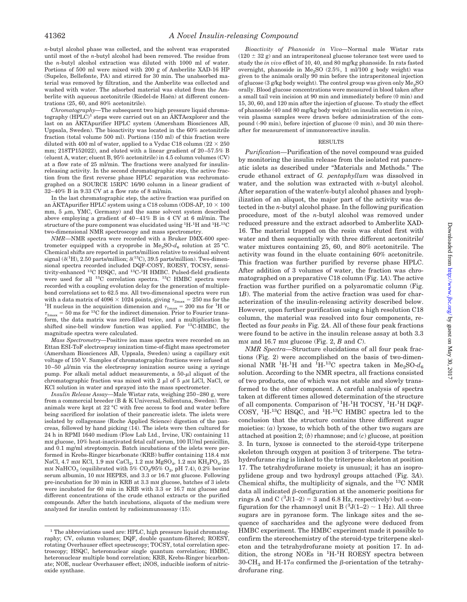*n*-butyl alcohol phase was collected, and the solvent was evaporated until most of the *n*-butyl alcohol had been removed. The residue from the *n*-butyl alcohol extraction was diluted with 1000 ml of water. Portions of 500 ml were mixed with 200 g of Amberlite XAD-16 HP (Supelco, Bellefonte, PA) and stirred for 30 min. The unabsorbed material was removed by filtration, and the Amberlite was collected and washed with water. The adsorbed material was eluted from the Amberlite with aqueous acetonitrile (Riedel-de Haën) at different concentrations (25, 60, and 80% acetonitrile).

*Chromatography—*The subsequent two high pressure liquid chromatography  $(HPLC)^1$  steps were carried out on an  $AKTA$ explorer and the last on an AKTApurifier HPLC system (Amersham Biosciences AB, Uppsala, Sweden). The bioactivity was located in the 60% acetonitrile fraction (total volume 500 ml). Portions (150 ml) of this fraction were diluted with 400 ml of water, applied to a Vydac C18 column ( $22 \times 250$ ) mm; 218TP152022), and eluted with a linear gradient of 20–57.5% B (eluent A, water; eluent B, 95% acetonitrile) in 4.5 column volumes (CV) at a flow rate of 25 ml/min. The fractions were analyzed for insulinreleasing activity. In the second chromatographic step, the active fraction from the first reverse phase HPLC separation was rechromatographed on a SOURCE 15RPC 16/90 column in a linear gradient of 32–40% B in 9.33 CV at a flow rate of 8 ml/min.

In the last chromatographic step, the active fraction was purified on an AKTApurifier HPLC system using a C18 column (ODS-AP,  $10 \times 100$ ) mm,  $5 \mu m$ , YMC, Germany) and the same solvent system described above employing a gradient of 40–41% B in 4 CV at 6 ml/min. The structure of the pure component was elucidated using <sup>1</sup>H-<sup>1</sup>H and <sup>1</sup>H-<sup>13</sup>C two-dimensional NMR spectroscopy and mass spectrometry.

*NMR—*NMR spectra were recorded with a Bruker DMX-600 spectrometer equipped with a cryoprobe in  $Me<sub>2</sub>SO-d<sub>6</sub>$  solution at 25 °C. Chemical shifts are reported in parts/million relative to residual solvent signal ( $\delta$ <sup>(1</sup>H), 2.50 parts/million;  $\delta$ <sup>(13</sup>C), 39.5 parts/million). Two-dimensional spectra recorded included DQF-COSY, ROESY, TOCSY, sensitivity-enhanced <sup>13</sup>C HSQC, and <sup>13</sup>C-<sup>1</sup>H HMBC. Pulsed-field gradients were used for all <sup>13</sup>C correlation spectra. <sup>13</sup>C HMBC spectra were recorded with a coupling evolution delay for the generation of multiplebond correlations set to 62.5 ms. All two-dimensional spectra were run with a data matrix of 4096  $\times$  1024 points, giving  $\tau_{\rm 2max}$  = 250 ms for the <sup>1</sup>H nucleus in the acquisition dimension and  $\tau_{\rm 1max} = 200$  ms for <sup>1</sup>H or  $\tau_{\rm 1max}$  = 50 ms for <sup>13</sup>C for the indirect dimension. Prior to Fourier transform, the data matrix was zero-filled twice, and a multiplication by shifted sine-bell window function was applied. For 13C-HMBC, the magnitude spectra were calculated.

*Mass Spectrometry—*Positive ion mass spectra were recorded on an Ettan ESI-ToF electrospray ionization time-of-flight mass spectrometer (Amersham Biosciences AB, Uppsala, Sweden) using a capillary exit voltage of 150 V. Samples of chromatographic fractions were infused at  $10-50$   $\mu$ *l*/min via the electrospray ionization source using a syringe pump. For alkali metal adduct measurements, a  $50-\mu l$  aliquot of the chromatographic fraction was mixed with 2  $\mu$ l of 5  $\mu$ M LiCl, NaCl, or KCl solution in water and sprayed into the mass spectrometer.

*Insulin Release Assay—*Male Wistar rats, weighing 250–280 g, were from a commercial breeder (B & K Universal, Sollentuna, Sweden). The animals were kept at 22 °C with free access to food and water before being sacrificed for isolation of their pancreatic islets. The islets were isolated by collagenase (Roche Applied Science) digestion of the pancreas, followed by hand picking (14). The islets were then cultured for 24 h in RPMI 1640 medium (Flow Lab Ltd., Irvine, UK) containing 11 mM glucose, 10% heat-inactivated fetal calf serum, 100 IU/ml penicillin, and 0.1 mg/ml streptomycin. Batch incubations of the islets were performed in Krebs-Ringer bicarbonate (KRB) buffer containing 118.4 mM NaCl, 4.7 mm KCl, 1.9 mm CaCl<sub>2</sub>, 1.2 mm MgSO<sub>4</sub>, 1.2 mm KH<sub>2</sub>PO<sub>4</sub>, 25 mM NaHCO<sub>3</sub> (equilibrated with 5% CO<sub>2</sub>/95% O<sub>2</sub>, pH 7.4), 0.2% bovine serum albumin, 10 mm HEPES, and 3.3 or 16.7 mm glucose. Following pre-incubation for 30 min in KRB at 3.3 mM glucose, batches of 3 islets were incubated for 60 min in KRB with 3.3 or 16.7 mm glucose and different concentrations of the crude ethanol extracts or the purified compounds. After the batch incubations, aliquots of the medium were analyzed for insulin content by radioimmunoassay (15).

*Bioactivity of Phanoside in Vivo—*Normal male Wistar rats  $(120 \pm 32$  g) and an intraperitoneal glucose tolerance test were used to study the *in vivo* effect of 10, 40, and 80 mg/kg phanoside. In rats fasted overnight, phanoside in Me<sub>2</sub>SO  $(2.5\%, 1 \text{ ml}/100 \text{ g}$  body weight) was given to the animals orally 90 min before the intraperitoneal injection of glucose (3 g/kg body weight). The control group was given only  $Me<sub>2</sub>SO$ orally. Blood glucose concentrations were measured in blood taken after a small tail vein incision at 90 min and immediately before (0 min) and 15, 30, 60, and 120 min after the injection of glucose. To study the effect of phanoside (40 and 80 mg/kg body weight) on insulin secretion *in vivo*, vein plasma samples were drawn before administration of the compound (-90 min), before injection of glucose (0 min), and 30 min thereafter for measurement of immunoreactive insulin.

#### RESULTS

*Purification—*Purification of the novel compound was guided by monitoring the insulin release from the isolated rat pancreatic islets as described under "Materials and Methods." The crude ethanol extract of *G. pentaphyllum* was dissolved in water, and the solution was extracted with *n*-butyl alcohol. After separation of the water/*n*-butyl alcohol phases and lyophilization of an aliquot, the major part of the activity was detected in the *n*-butyl alcohol phase. In the following purification procedure, most of the *n*-butyl alcohol was removed under reduced pressure and the extract adsorbed to Amberlite XAD-16. The material trapped on the resin was eluted first with water and then sequentially with three different acetonitrile/ water mixtures containing 25, 60, and 80% acetonitrile. The activity was found in the eluate containing 60% acetonitrile. This fraction was further purified by reverse phase HPLC. After addition of 3 volumes of water, the fraction was chromatographed on a preparative C18 column (Fig. 1*A*). The active fraction was further purified on a polyaromatic column (Fig. 1*B*). The material from the active fraction was used for characterization of the insulin-releasing activity described below. However, upon further purification using a high resolution C18 column, the material was resolved into four components, reflected as four *peaks* in Fig. 2*A*. All of these four peak fractions were found to be active in the insulin release assay at both 3.3 mM and 16.7 mM glucose (Fig. 2, *B* and *C*).

*NMR Spectra—*Structure elucidations of all four peak fractions (Fig. 2) were accomplished on the basis of two-dimensional NMR <sup>1</sup>H-<sup>1</sup>H and <sup>1</sup>H-<sup>13</sup>C spectra taken in Me<sub>2</sub>SO- $d_6$ solution. According to the NMR spectra, all fractions consisted of two products, one of which was not stable and slowly transformed to the other component. A careful analysis of spectra taken at different times allowed determination of the structure of all components. Comparison of <sup>1</sup>H-<sup>1</sup>H TOCSY, <sup>1</sup>H-<sup>1</sup>H DQF-COSY, <sup>1</sup> H-13C HSQC, and <sup>1</sup> H-13C HMBC spectra led to the conclusion that the structure contains three different sugar moieties: (*a*) lyxose, to which both of the other two sugars are attached at position 2; (*b*) rhamnose; and (*c*) glucose, at position 3. In turn, lyxose is connected to the steroid-type triterpene skeleton through oxygen at position 3 of triterpene. The tetrahydrofurane ring is linked to the triterpene skeleton at position 17. The tetrahydrofurane moiety is unusual; it has an isopropylidene group and two hydroxyl groups attached (Fig. 3*A*). Chemical shifts, the multiplicity of signals, and the  $^{13}$ C NMR data all indicated  $\beta$ -configuration at the anomeric positions for rings A and C ( ${}^{3}J(1-2) = 3$  and 6.8 Hz, respectively) but  $\alpha$ -configuration for the rhamnosyl unit B  $(^{3}J(1-2) \sim 1$  Hz). All three sugars are in pyranose form. The linkage sites and the sequence of saccharides and the aglycone were deduced from HMBC experiment. The HMBC experiment made it possible to confirm the stereochemistry of the steroid-type triterpene skeleton and the tetrahydrofurane moiety at position 17. In addition, the strong NOEs in  ${}^{1}H-{}^{1}H$  ROESY spectra between 30-CH<sub>3</sub> and H-17 $\alpha$  confirmed the  $\beta$ -orientation of the tetrahydrofurane ring.

<sup>&</sup>lt;sup>1</sup> The abbreviations used are: HPLC, high pressure liquid chromatography; CV, column volumes; DQF, double quantum-filtered; ROESY, rotating Overhauser effect spectroscopy; TOCSY, total correlation spectroscopy; HSQC, heteronuclear single quantum correlation; HMBC, heteronuclear multiple bond correlation; KRB, Krebs-Ringer bicarbonate; NOE, nuclear Overhauser effect; iNOS, inducible isoform of nitricoxide synthase.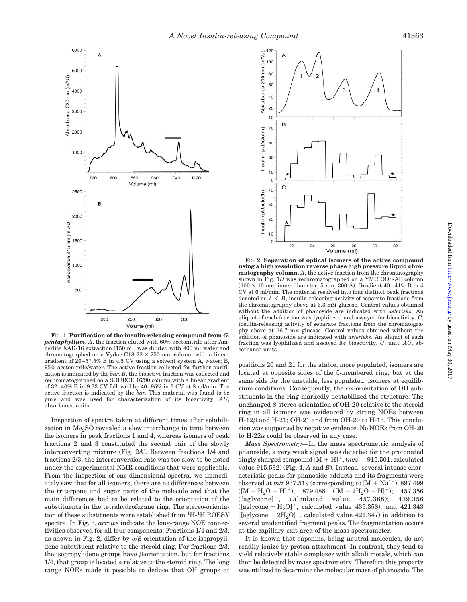

FIG. 1. **Purification of the insulin-releasing compound from** *G. pentaphyllum***.** *A*, the fraction eluted with 60% acetonitrile after Amberlite XAD-16 extraction (150 ml) was diluted with 400 ml water and chromatographed on a Vydac C18  $22 \times 250$  mm column with a linear gradient of 20–57.5% B in 4.5 CV using a solvent system A, water; B, 95% acetonitrile/water. The active fraction collected for further purification is indicated by the *bar*. *B*, the bioactive fraction was collected and rechromatographed on a SOURCE 16/90 column with a linear gradient of 32–40% B in 9.33 CV followed by 40–95% in 3 CV at 8 ml/min. The active fraction is indicated by the *bar*. This material was found to be pure and was used for characterization of its bioactivity. *AU*, absorbance units

Inspection of spectra taken at different times after solubilization in  $Me<sub>2</sub>SO$  revealed a slow interchange in time between the isomers in peak fractions 1 and 4, whereas isomers of peak fractions 2 and 3 constituted the second pair of the slowly interconverting mixture (Fig. 2*A*). Between fractions 1/4 and fractions 2/3, the interconversion rate was too slow to be noted under the experimental NMR conditions that were applicable. From the inspection of one-dimensional spectra, we immediately saw that for all isomers, there are no differences between the triterpene and sugar parts of the molecule and that the main differences had to be related to the orientation of the substituents in the tetrahydrofurane ring. The stereo-orientation of these substituents were established from <sup>1</sup>H-<sup>1</sup>H ROESY spectra. In Fig. 3, *arrows* indicate the long-range NOE connectivities observed for all four components. Fractions 1/4 and 2/3, as shown in Fig. 2, differ by  $\alpha/\beta$  orientation of the isopropylidene substituent relative to the steroid ring. For fractions 2/3, the isopropylidene groups have  $\beta$ -orientation, but for fractions 1/4, that group is located  $\alpha$  relative to the steroid ring. The long range NOEs made it possible to deduce that OH groups at



FIG. 2. **Separation of optical isomers of the active compound using a high resolution reverse phase high pressure liquid chromatography column.** *A*, the active fraction from the chromatography shown in Fig. 1*D* was rechromatographed on a YMC ODS-AP column  $(100 \times 10$  mm inner diameter, 5  $\mu$ m, 300 Å). Gradient 40–41% B in 4 CV at 6 ml/min. The material resolved into four distinct peak fractions denoted as *1–4*. *B*, insulin-releasing activity of separate fractions from the chromatography above at 3.3 mM glucose. Control values obtained without the addition of phanoside are indicated with *asterisks*. An aliquot of each fraction was lyophilized and assayed for bioactivity. *C*, insulin-releasing activity of separate fractions from the chromatography above at 16.7 mM glucose. Control values obtained without the addition of phanoside are indicated with *asterisks*. An aliquot of each fraction was lyophilized and assayed for bioactivity. *U*, unit; *AU*, absorbance units

positions 20 and 21 for the stable, more populated, isomers are located at opposite sides of the 5-membered ring, but at the same side for the unstable, less populated, isomers at equilibrium conditions. Consequently, the *cis*-orientation of OH substituents in the ring markedly destabilized the structure. The unchanged  $\beta$ -stereo-orientation of OH-20 relative to the steroid ring in all isomers was evidenced by strong NOEs between  $H-12\beta$  and  $H-21$ ; OH-21 and from OH-20 to H-13. This conclusion was supported by negative evidence. No NOEs from OH-20 to H-22 $\alpha$  could be observed in any case.

*Mass Spectrometry—*In the mass spectrometric analysis of phanoside, a very weak signal was detected for the protonated singly charged compound  $[M + H]^+, (m/z = 915.501, \text{ calculated})$ value 915.532) (Fig. 4, *A* and *B*). Instead, several intense characteristic peaks for phanoside adducts and its fragments were observed at  $m/z$  937.519 (corresponding to  $[M + Na]^+$ ); 897.499  $([M - H<sub>2</sub>O + H]<sup>+</sup>);$  879.488  $([M - 2H<sub>2</sub>O + H]<sup>+</sup>);$  457.356<br>([aglycone]<sup>+</sup>, calculated value 457.368); 439.356  $(Iaglycone<sup>+</sup>, calculated$ ([aglycone  $-H<sub>2</sub>O$ ]<sup>+</sup>, calculated value 439.358), and 421.343  $([aglycone - 2H<sub>2</sub>O]<sup>+</sup>$ , calculated value 421.347) in addition to several unidentified fragment peaks. The fragmentation occurs at the capillary exit area of the mass spectrometer.

It is known that saponins, being neutral molecules, do not readily ionize by proton attachment. In contrast, they tend to yield relatively stable complexes with alkali metals, which can then be detected by mass spectrometry. Therefore this property was utilized to determine the molecular mass of phanoside. The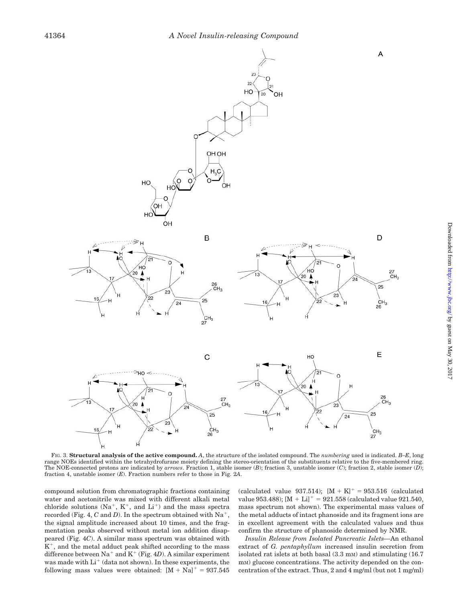

FIG. 3. **Structural analysis of the active compound.** *A*, the structure of the isolated compound. The *numbering* used is indicated. *B–E*, long range NOEs identified within the tetrahydrofurane moiety defining the stereo-orientation of the substituents relative to the five-membered ring. The NOE-connected protons are indicated by *arrows*. Fraction 1, stable isomer (*B*); fraction 3, unstable isomer (*C*); fraction 2, stable isomer (*D*); fraction 4, unstable isomer (*E*). Fraction numbers refer to those in Fig. 2*A*.

compound solution from chromatographic fractions containing water and acetonitrile was mixed with different alkali metal chloride solutions  $(Na^+, K^+,$  and  $Li^+)$  and the mass spectra recorded (Fig. 4,  $C$  and  $D$ ). In the spectrum obtained with Na<sup>+</sup>, the signal amplitude increased about 10 times, and the fragmentation peaks observed without metal ion addition disappeared (Fig. 4*C*). A similar mass spectrum was obtained with  $K^+$ , and the metal adduct peak shifted according to the mass difference between  $Na^+$  and  $K^+$  (Fig. 4*D*). A similar experiment was made with  $Li<sup>+</sup>$  (data not shown). In these experiments, the following mass values were obtained:  $[M + Na]$ <sup>+</sup> = 937.545

(calculated value 937.514);  $[M + K]^{+} = 953.516$  (calculated value 953.488);  $[M + Li]$ <sup>+</sup> = 921.558 (calculated value 921.540, mass spectrum not shown). The experimental mass values of the metal adducts of intact phanoside and its fragment ions are in excellent agreement with the calculated values and thus confirm the structure of phanoside determined by NMR.

*Insulin Release from Isolated Pancreatic Islets—*An ethanol extract of *G. pentaphyllum* increased insulin secretion from isolated rat islets at both basal (3.3 mM) and stimulating (16.7 m<sub>M</sub>) glucose concentrations. The activity depended on the concentration of the extract. Thus, 2 and 4 mg/ml (but not 1 mg/ml)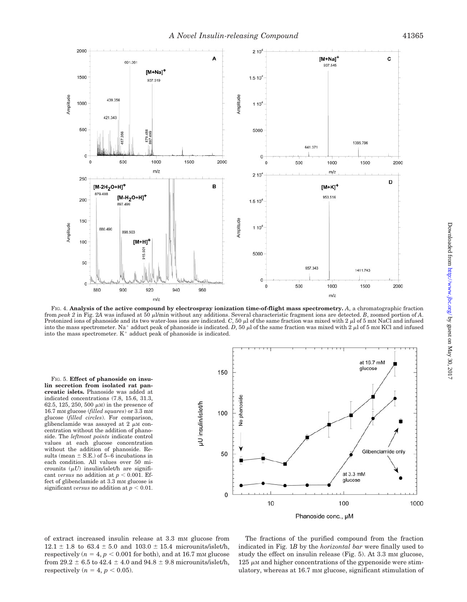

FIG. 4. **Analysis of the active compound by electrospray ionization time-of-flight mass spectrometry.** *A*, a chromatographic fraction from *peak 2* in Fig. 2A was infused at 50 µl/min without any additions. Several characteristic fragment ions are detected. *B*, zoomed portion of *A*. Protonized ions of phanoside and its two water-loss ions are indicated.  $C$ , 50  $\mu$  of the same fraction was mixed with 2  $\mu$  of 5 mm NaCl and infused into the mass spectrometer. Na<sup>+</sup> adduct peak of phanoside is indicated. *D*, 50  $\mu$  of the same fraction was mixed with 2  $\mu$  of 5 mM KCl and infused into the mass spectrometer.  $K^+$  adduct peak of phanoside is indicated.

FIG. 5. **Effect of phanoside on insulin secretion from isolated rat pancreatic islets.** Phanoside was added at indicated concentrations (7.8, 15.6, 31.3, 62.5, 125, 250, 500  $\mu$ M) in the presence of 16.7 mM glucose (*filled squares*) or 3.3 mM glucose (*filled circles*). For comparison, glibenclamide was assayed at  $2 \mu M$  concentration without the addition of phanoside. The *leftmost points* indicate control values at each glucose concentration without the addition of phanoside. Results (mean  $\pm$  S.E.) of 5–6 incubations in each condition. All values over 50 microunits  $(\mu U)$  insulin/islet/h are significant *versus* no addition at  $p < 0.001$ . Effect of glibenclamide at  $3.3 \text{ mm}$  glucose is significant *versus* no addition at  $p < 0.01$ .



Phanoside conc., µM

of extract increased insulin release at 3.3 mM glucose from  $12.1 \pm 1.8$  to  $63.4 \pm 5.0$  and  $103.0 \pm 15.4$  microunits/islet/h, respectively ( $n = 4, p < 0.001$  for both), and at 16.7 mm glucose from 29.2  $\pm$  6.5 to 42.4  $\pm$  4.0 and 94.8  $\pm$  9.8 microunits/islet/h, respectively  $(n = 4, p < 0.05)$ .

The fractions of the purified compound from the fraction indicated in Fig. 1*B* by the *horizontal bar* were finally used to study the effect on insulin release (Fig. 5). At 3.3 mm glucose,  $125 \mu M$  and higher concentrations of the gypenoside were stimulatory, whereas at 16.7 mm glucose, significant stimulation of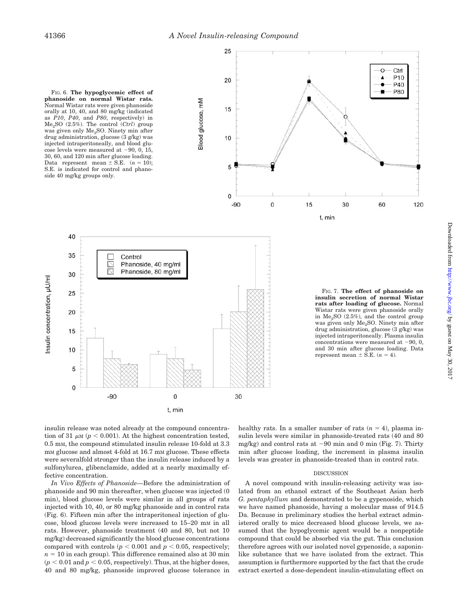Blood glucose, mM

FIG. 6. **The hypoglycemic effect of phanoside on normal Wistar rats.** Normal Wistar rats were given phanoside orally at 10, 40, and 80 mg/kg (indicated as *P10*, *P40*, and *P80*, respectively) in Me2SO (2.5%). The control (*Ctrl*) group was given only Me<sub>2</sub>SO. Ninety min after drug administration, glucose (3 g/kg) was injected intraperitoneally, and blood glucose levels were measured at  $-90, 0, 15$ , 30, 60, and 120 min after glucose loading. Data represent mean  $\pm$  S.E. (*n* = 10); S.E. is indicated for control and phanoside 40 mg/kg groups only.





FIG. 7. **The effect of phanoside on insulin secretion of normal Wistar rats after loading of glucose.** Normal Wistar rats were given phanoside orally in  $Me<sub>2</sub>SO$  (2.5%), and the control group was given only Me2SO. Ninety min after drug administration, glucose (3 g/kg) was injected intraperitoneally. Plasma insulin concentrations were measured at  $-90, 0$ , and 30 min after glucose loading. Data represent mean  $\pm$  S.E. ( $n = 4$ ).

insulin release was noted already at the compound concentration of 31  $\mu$ M ( $p < 0.001$ ). At the highest concentration tested, 0.5 mM, the compound stimulated insulin release 10-fold at 3.3 mm glucose and almost 4-fold at 16.7 mm glucose. These effects were severalfold stronger than the insulin release induced by a sulfonylurea, glibenclamide, added at a nearly maximally effective concentration.

*In Vivo Effects of Phanoside—*Before the administration of phanoside and 90 min thereafter, when glucose was injected (0 min), blood glucose levels were similar in all groups of rats injected with 10, 40, or 80 mg/kg phanoside and in control rats (Fig. 6). Fifteen min after the intraperitoneal injection of glucose, blood glucose levels were increased to 15–20 mM in all rats. However, phanoside treatment (40 and 80, but not 10 mg/kg) decreased significantly the blood glucose concentrations compared with controls ( $p < 0.001$  and  $p < 0.05$ , respectively;  $n = 10$  in each group). This difference remained also at 30 min  $(p < 0.01$  and  $p < 0.05$ , respectively). Thus, at the higher doses, 40 and 80 mg/kg, phanoside improved glucose tolerance in

healthy rats. In a smaller number of rats  $(n = 4)$ , plasma insulin levels were similar in phanoside-treated rats (40 and 80 mg/kg) and control rats at  $-90$  min and 0 min (Fig. 7). Thirty min after glucose loading, the increment in plasma insulin levels was greater in phanoside-treated than in control rats.

#### DISCUSSION

A novel compound with insulin-releasing activity was isolated from an ethanol extract of the Southeast Asian herb *G. pentaphyllum* and demonstrated to be a gypenoside, which we have named phanoside, having a molecular mass of 914.5 Da. Because in preliminary studies the herbal extract administered orally to mice decreased blood glucose levels, we assumed that the hypoglycemic agent would be a nonpeptide compound that could be absorbed via the gut. This conclusion therefore agrees with our isolated novel gypenoside, a saponinlike substance that we have isolated from the extract. This assumption is furthermore supported by the fact that the crude extract exerted a dose-dependent insulin-stimulating effect on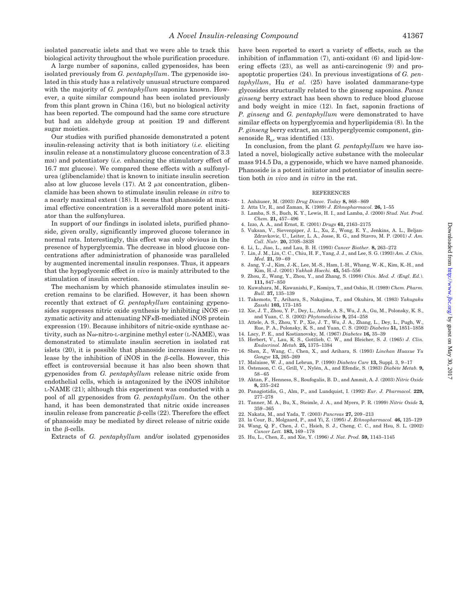isolated pancreatic islets and that we were able to track this biological activity throughout the whole purification procedure.

A large number of saponins, called gypenosides, has been isolated previously from *G. pentaphyllum*. The gypenoside isolated in this study has a relatively unusual structure compared with the majority of *G. pentaphyllum* saponins known. However, a quite similar compound has been isolated previously from this plant grown in China (16), but no biological activity has been reported. The compound had the same core structure but had an aldehyde group at position 19 and different sugar moieties.

Our studies with purified phanoside demonstrated a potent insulin-releasing activity that is both initiatory (*i.e.* eliciting insulin release at a nonstimulatory glucose concentration of 3.3 mM) and potentiatory (*i.e.* enhancing the stimulatory effect of 16.7 mM glucose). We compared these effects with a sulfonylurea (glibenclamide) that is known to initiate insulin secretion also at low glucose levels  $(17)$ . At 2  $\mu$ M concentration, glibenclamide has been shown to stimulate insulin release *in vitro* to a nearly maximal extent (18). It seems that phanoside at maximal effective concentration is a severalfold more potent initiator than the sulfonylurea.

In support of our findings in isolated islets, purified phanoside, given orally, significantly improved glucose tolerance in normal rats. Interestingly, this effect was only obvious in the presence of hyperglycemia. The decrease in blood glucose concentrations after administration of phanoside was paralleled by augmented incremental insulin responses. Thus, it appears that the hypoglycemic effect *in vivo* is mainly attributed to the stimulation of insulin secretion.

The mechanism by which phanoside stimulates insulin secretion remains to be clarified. However, it has been shown recently that extract of *G. pentaphyllum* containing gypenosides suppresses nitric oxide synthesis by inhibiting iNOS enzymatic activity and attenuating  $N F<sub>K</sub>B$ -mediated iNOS protein expression (19). Because inhibitors of nitric-oxide synthase activity, such as  $N\omega$ -nitro-L-arginine methyl ester (L-NAME), was demonstrated to stimulate insulin secretion in isolated rat islets (20), it is possible that phanoside increases insulin release by the inhibition of iNOS in the  $\beta$ -cells. However, this effect is controversial because it has also been shown that gypenosides from *G. pentaphyllum* release nitric oxide from endothelial cells, which is antagonized by the iNOS inhibitor L-NAME (21); although this experiment was conducted with a pool of all gypenosides from *G. pentaphyllum*. On the other hand, it has been demonstrated that nitric oxide increases insulin release from pancreatic  $\beta$ -cells (22). Therefore the effect of phanoside may be mediated by direct release of nitric oxide in the  $\beta$ -cells.

Extracts of *G. pentaphyllum* and/or isolated gypenosides

have been reported to exert a variety of effects, such as the inhibition of inflammation (7), anti-oxidant (6) and lipid-lowering effects (23), as well as anti-carcinogenic (9) and proapoptotic properties (24). In previous investigations of *G. pentaphyllum*, Hu *et al.* (25) have isolated dammarane-type glycosides structurally related to the ginseng saponins. *Panax ginseng* berry extract has been shown to reduce blood glucose and body weight in mice (12). In fact, saponin fractions of *P. ginseng* and *G. pentaphyllum* were demonstrated to have similar effects on hyperglycemia and hyperlipidemia (8). In the *P. ginseng* berry extract, an antihyperglycemic component, ginsenoside  $R_e$ , was identified (13).

In conclusion, from the plant *G. pentaphyllum* we have isolated a novel, biologically active substance with the molecular mass 914.5 Da, a gypenoside, which we have named phanoside. Phanoside is a potent initiator and potentiator of insulin secretion both *in vivo* and *in vitro* in the rat.

#### REFERENCES

- 1. Anha¨user, M. (2003) *Drug Discov. Today* **8,** 868–869
- 2. Atta Ur, R., and Zaman, K. (1989) *J. Ethnopharmacol.* **26,** 1–55
- 3. Lamba, S. S., Buch, K. Y., Lewis, H. I., and Lamba, J. (2000) *Stud. Nat. Prod. Chem.* **21,** 457–496
- 4. Izzo, A. A., and Ernst, E. (2001) *Drugs* **61,** 2163–2175
- 5. Vuksan, V., Sievenpiper, J. L., Xu, Z., Wong, E. Y., Jenkins, A. L., Beljan-Zdravkovic, U., Leiter, L. A., Josse, R. G., and Stavro, M. P. (2001) *J. Am. Coll. Nutr.* **20,** 370S–383S
- 6. Li, L., Jiao, L., and Lau, B. H. (1993) *Cancer Biother.* **8,** 263–272
- 7. Lin, J. M., Lin, C. C., Chiu, H. F., Yang, J. J., and Lee, S. G. (1993) *Am. J. Chin. Med.* **21,** 59–69
- 8. Jang, Y.-J., Kim, J.-K., Lee, M.-S., Ham, I.-H., Whang, W.-K., Kim, K.-H., and Kim, H.-J. (2001) *Yakhak Hoechi.* **45,** 545–556
- 9. Zhou, Z., Wang, Y., Zhou, Y., and Zhang, S. (1998) *Chin. Med. J. (Engl. Ed.*). **111,** 847–850
- 10. Kuwahara, M., Kawanishi, F., Komiya, T., and Oshio, H. (1989) *Chem. Pharm. Bull.* **37,** 135–139
- 11. Takemoto, T., Arihara, S., Nakajima, T., and Okuhira, M. (1983) *Yakugaku Zasshi* **103,** 173–185
- 12. Xie, J. T., Zhou, Y. P., Dey, L., Attele, A. S., Wu, J. A., Gu, M., Polonsky, K. S., and Yuan, C. S. (2002) *Phytomedicine* **9,** 254–258
- 13. Attele, A. S., Zhou, Y. P., Xie, J. T., Wu, J. A., Zhang, L., Dey, L., Pugh, W., Rue, P. A., Polonsky, K. S., and Yuan, C. S. (2002) *Diabetes* **51,** 1851–1858
- 14. Lacy, P. E., and Kostianovsky, M. (1967) *Diabetes* **16,** 35–39 15. Herbert, V., Lau, K. S., Gottlieb, C. W., and Bleicher, S. J. (1965) *J. Clin. Endocrinol. Metab.* **25,** 1375–1384
- 16. Shen, Z., Wang, C., Chen, X., and Arihara, S. (1993) *Linchan Huaxue Yu*
- *Gongye* **13,** 265–269 17. Malaisse, W. J., and Lebrun, P. (1990) *Diabetes Care* **13,** Suppl. 3, 9–17
- 18. Ostenson, C. G., Grill, V., Nylén, A., and Efendic, S. (1983) *Diabète Metab*. 9,
- 58–65 19. Aktan, F., Henness, S., Roufogalis, B. D., and Ammit, A. J. (2003) *Nitric Oxide*
- **8,** 235–242 20. Panagiotidis, G., Alm, P., and Lundquist, I. (1992) *Eur. J. Pharmacol.* **229,**
- 277–278
- 21. Tanner, M. A., Bu, X., Steimle, J. A., and Myers, P. R. (1999) *Nitric Oxide* **3,** 359–365
- 22. Nakata, M., and Yada, T. (2003) *Pancreas* **27,** 209–213
- 23. la Cour, B., Molgaard, P., and Yi, Z. (1995) *J. Ethnopharmacol.* **46,** 125–129 Wang, Q. F., Chen, J. C., Hsieh, S. J., Cheng, C. C., and Hsu, S. L. (2002) *Cancer Lett.* **183,** 169–178
- 25. Hu, L., Chen, Z., and Xie, Y. (1996) *J. Nat. Prod.* **59,** 1143–1145